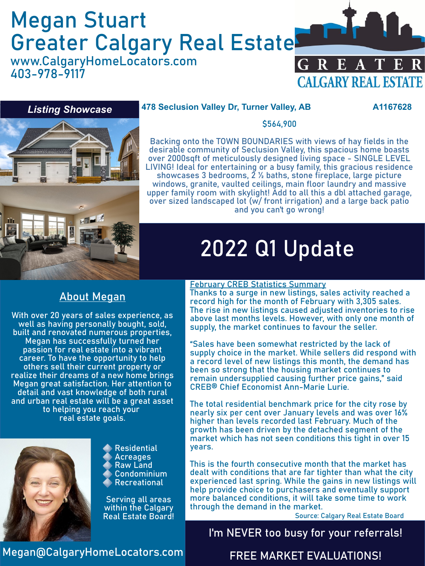# Megan Stuart Greater Calgary Real Estate

www.CalgaryHomeLocators.com 403-978-9117



### *Listing Showcase*

### **478 Seclusion Valley Dr, Turner Valley, AB A1167628**



### \$564,900

Backing onto the TOWN BOUNDARIES with views of hay fields in the desirable community of Seclusion Valley, this spacious home boasts over 2000sqft of meticulously designed living space - SINGLE LEVEL LIVING! Ideal for entertaining or a busy family, this gracious residence showcases 3 bedrooms,  $\tilde{2}$  % baths, stone fireplace, large picture windows, granite, vaulted ceilings, main floor laundry and massive upper family room with skylight! Add to all this a dbl attached garage, over sized landscaped lot (w/ front irrigation) and a large back patio and you can't go wrong!

# 2022 Q1 Update

# About Megan

With over 20 years of sales experience, as well as having personally bought, sold, built and renovated numerous properties, Megan has successfully turned her passion for real estate into a vibrant career. To have the opportunity to help others sell their current property or realize their dreams of a new home brings Megan great satisfaction. Her attention to detail and vast knowledge of both rural and urban real estate will be a great asset to helping you reach your real estate goals.



Residential **Acreages** Raw Land Condominium Recreational

Serving all areas within the Calgary Real Estate Board!

### February CREB Statistics Summary

Thanks to a surge in new listings, sales activity reached a record high for the month of February with 3,305 sales. The rise in new listings caused adjusted inventories to rise above last months levels. However, with only one month of supply, the market continues to favour the seller.

"Sales have been somewhat restricted by the lack of supply choice in the market. While sellers did respond with a record level of new listings this month, the demand has been so strong that the housing market continues to remain undersupplied causing further price gains," said CREB® Chief Economist Ann-Marie Lurie.

The total residential benchmark price for the city rose by nearly six per cent over January levels and was over 16% higher than levels recorded last February. Much of the growth has been driven by the detached segment of the market which has not seen conditions this tight in over 15 years.

This is the fourth consecutive month that the market has dealt with conditions that are far tighter than what the city experienced last spring. While the gains in new listings will help provide choice to purchasers and eventually support more balanced conditions, it will take some time to work through the demand in the market.

Source: Calgary Real Estate Board

# I'm NEVER too busy for your referrals!

Megan@CalgaryHomeLocators.com

## FREE MARKET EVALUATIONS!